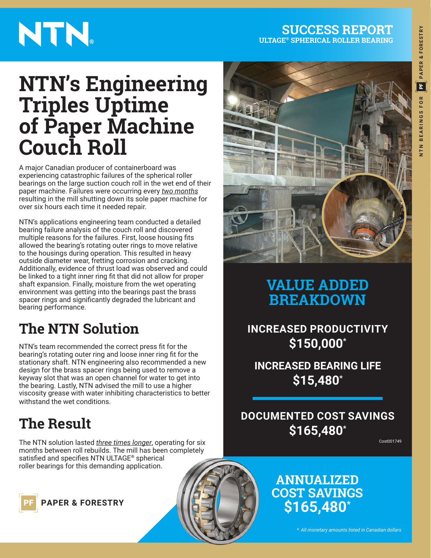#### **SUCCESS REPORT ULTAGE® SPHERICAL ROLLER BEARING**

# NTN.

## **NTN's Engineering Triples Uptime of Paper Machine Couch Roll**

A major Canadian producer of containerboard was experiencing catastrophic failures of the spherical roller bearings on the large suction couch roll in the wet end of their paper machine. Failures were occurring every *two months* resulting in the mill shutting down its sole paper machine for over six hours each time it needed repair.

NTN's applications engineering team conducted a detailed bearing failure analysis of the couch roll and discovered multiple reasons for the failures. First, loose housing fits allowed the bearing's rotating outer rings to move relative to the housings during operation. This resulted in heavy outside diameter wear, fretting corrosion and cracking. Additionally, evidence of thrust load was observed and could be linked to a tight inner ring fit that did not allow for proper shaft expansion. Finally, moisture from the wet operating environment was getting into the bearings past the brass spacer rings and significantly degraded the lubricant and bearing performance.

## **The NTN Solution**

NTN's team recommended the correct press fit for the bearing's rotating outer ring and loose inner ring fit for the stationary shaft. NTN engineering also recommended a new design for the brass spacer rings being used to remove a keyway slot that was an open channel for water to get into the bearing. Lastly, NTN advised the mill to use a higher viscosity grease with water inhibiting characteristics to better withstand the wet conditions.

## **The Result**

The NTN solution lasted *three times longer*, operating for six months between roll rebuilds. The mill has been completely satisfied and specifies NTN ULTAGE**®** spherical roller bearings for this demanding application.

**PAPER & FORESTRY** 



### **VALUE ADDED BREAKDOWN**

**INCREASED PRODUCTIVITY \$150,000\***

**INCREASED BEARING LIFE \$15,480\***

**DOCUMENTED COST SAVINGS \$165,480\***

Cost001749

### **ANNUALIZED COST SAVINGS \$165,480\***

*\* All monetary amounts listed in Canadian dollars*